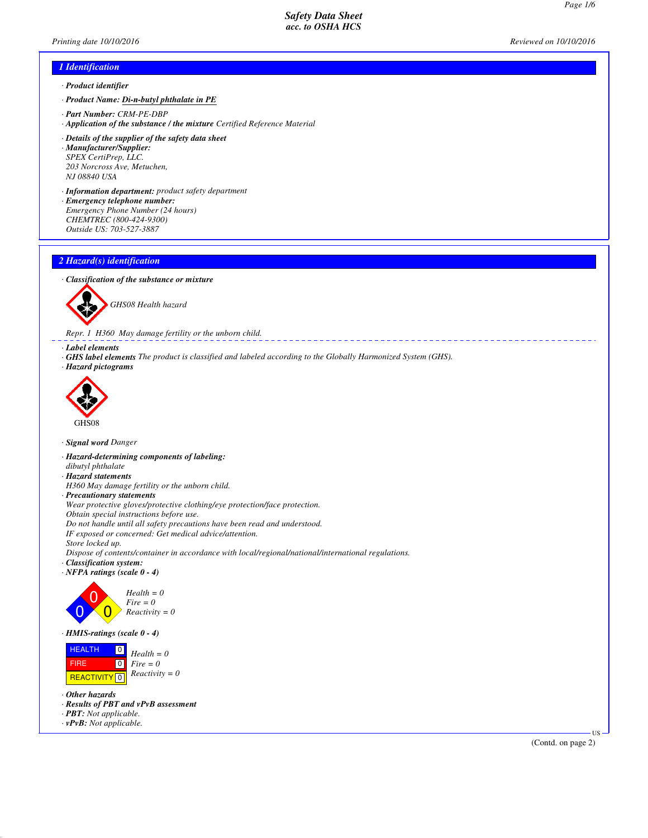\_\_\_\_\_\_\_\_\_\_\_\_\_\_\_\_\_\_\_\_\_\_\_\_\_\_\_\_\_\_

# *1 Identification*

- *· Product identifier*
- *· Product Name: Di-n-butyl phthalate in PE*
- *· Part Number: CRM-PE-DBP*
- *· Application of the substance / the mixture Certified Reference Material*
- *· Details of the supplier of the safety data sheet · Manufacturer/Supplier: SPEX CertiPrep, LLC. 203 Norcross Ave, Metuchen, NJ 08840 USA*
- *· Information department: product safety department · Emergency telephone number: Emergency Phone Number (24 hours) CHEMTREC (800-424-9300)*
- *Outside US: 703-527-3887*

# *2 Hazard(s) identification*

#### *· Classification of the substance or mixture*



*GHS08 Health hazard*

*Repr. 1 H360 May damage fertility or the unborn child.*

# *· Label elements*

*· GHS label elements The product is classified and labeled according to the Globally Harmonized System (GHS). · Hazard pictograms*



#### *· Signal word Danger*

- *· Hazard-determining components of labeling:*
- *dibutyl phthalate*
- *· Hazard statements*
- *H360 May damage fertility or the unborn child.*
- *· Precautionary statements*

*Wear protective gloves/protective clothing/eye protection/face protection.*

*Obtain special instructions before use.*

*Do not handle until all safety precautions have been read and understood.*

*IF exposed or concerned: Get medical advice/attention.*

*Store locked up.*

*Dispose of contents/container in accordance with local/regional/national/international regulations.*

- *· Classification system:*
- *· NFPA ratings (scale 0 4)*





#### *· HMIS-ratings (scale 0 - 4)*



*· Other hazards*

- *· Results of PBT and vPvB assessment*
- *· PBT: Not applicable.*
- *· vPvB: Not applicable.*

*Printing date 10/10/2016 Reviewed on 10/10/2016*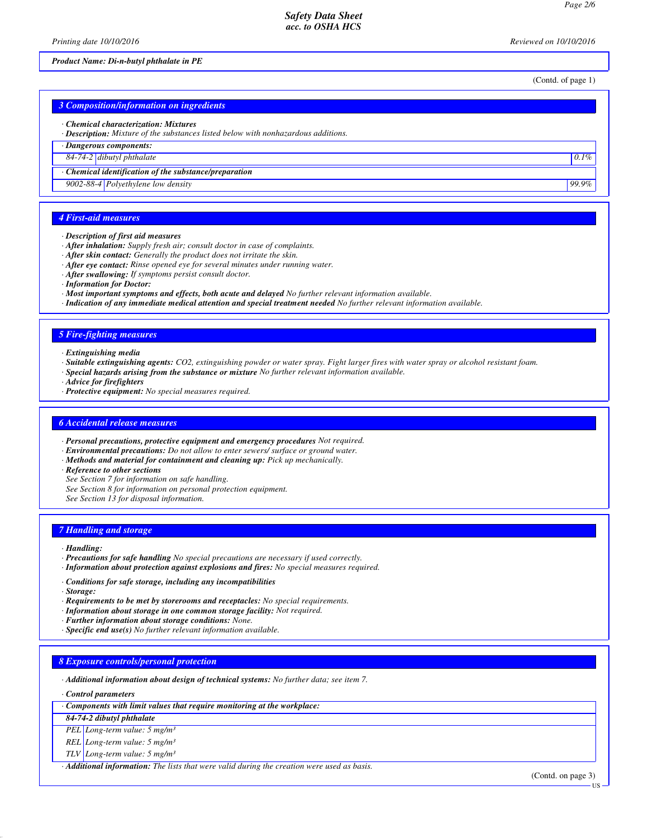*Printing date 10/10/2016 Reviewed on 10/10/2016*

## *Product Name: Di-n-butyl phthalate in PE*

(Contd. of page 1)

| 3 Composition/information on ingredients                                                                                           |         |
|------------------------------------------------------------------------------------------------------------------------------------|---------|
| • Chemical characterization: Mixtures<br>· <b>Description:</b> Mixture of the substances listed below with nonhazardous additions. |         |
| · Dangerous components:                                                                                                            |         |
| 84-74-2 dibutyl phthalate                                                                                                          | $0.1\%$ |
| $\cdot$ Chemical identification of the substance/preparation                                                                       |         |
| 9002-88-4 Polyethylene low density                                                                                                 | 99.9%   |

# *4 First-aid measures*

#### *· Description of first aid measures*

- *· After inhalation: Supply fresh air; consult doctor in case of complaints.*
- *· After skin contact: Generally the product does not irritate the skin.*
- *· After eye contact: Rinse opened eye for several minutes under running water.*
- *· After swallowing: If symptoms persist consult doctor.*
- *· Information for Doctor:*
- *· Most important symptoms and effects, both acute and delayed No further relevant information available.*
- *· Indication of any immediate medical attention and special treatment needed No further relevant information available.*

## *5 Fire-fighting measures*

- *· Extinguishing media*
- *· Suitable extinguishing agents: CO2, extinguishing powder or water spray. Fight larger fires with water spray or alcohol resistant foam.*
- *· Special hazards arising from the substance or mixture No further relevant information available.*
- *· Advice for firefighters*
- *· Protective equipment: No special measures required.*

#### *6 Accidental release measures*

- *· Personal precautions, protective equipment and emergency procedures Not required.*
- *· Environmental precautions: Do not allow to enter sewers/ surface or ground water.*
- *· Methods and material for containment and cleaning up: Pick up mechanically.*
- *· Reference to other sections*
- *See Section 7 for information on safe handling.*
- *See Section 8 for information on personal protection equipment.*
- *See Section 13 for disposal information.*

#### *7 Handling and storage*

- *· Handling:*
- *· Precautions for safe handling No special precautions are necessary if used correctly.*
- *· Information about protection against explosions and fires: No special measures required.*
- *· Conditions for safe storage, including any incompatibilities*
- *· Storage:*
- *· Requirements to be met by storerooms and receptacles: No special requirements.*
- *· Information about storage in one common storage facility: Not required.*
- *· Further information about storage conditions: None.*
- *· Specific end use(s) No further relevant information available.*

# *8 Exposure controls/personal protection*

*· Additional information about design of technical systems: No further data; see item 7.*

*· Control parameters*

*· Components with limit values that require monitoring at the workplace:*

*84-74-2 dibutyl phthalate*

*PEL Long-term value: 5 mg/m³*

*REL Long-term value: 5 mg/m³*

*TLV Long-term value: 5 mg/m³*

*· Additional information: The lists that were valid during the creation were used as basis.*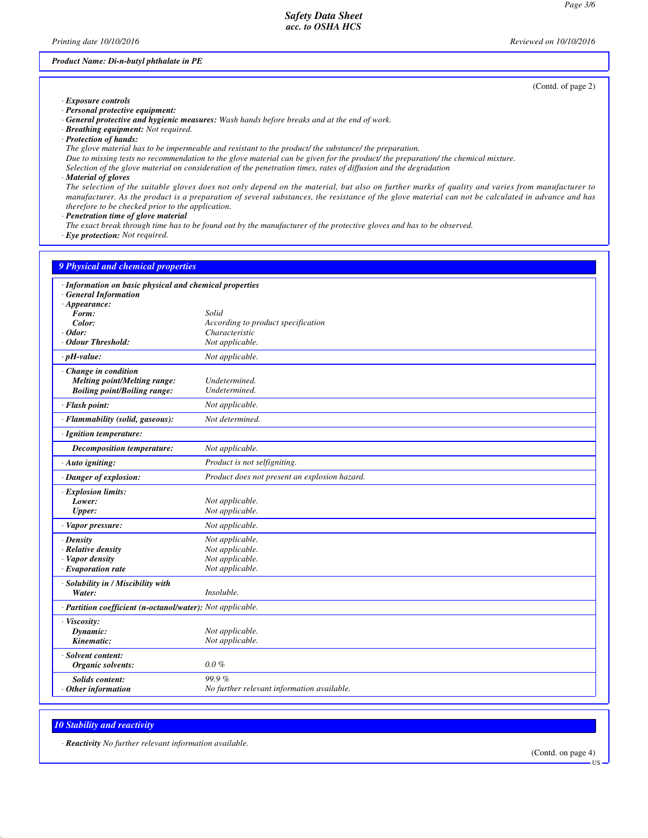*Printing date 10/10/2016 Reviewed on 10/10/2016*

## *Product Name: Di-n-butyl phthalate in PE*

*· Exposure controls · Personal protective equipment:*

- *· General protective and hygienic measures: Wash hands before breaks and at the end of work.*
- *· Breathing equipment: Not required.*
- *· Protection of hands:*

*The glove material has to be impermeable and resistant to the product/ the substance/ the preparation.*

*Due to missing tests no recommendation to the glove material can be given for the product/ the preparation/ the chemical mixture.*

- *Selection of the glove material on consideration of the penetration times, rates of diffusion and the degradation*
- *· Material of gloves*

*The selection of the suitable gloves does not only depend on the material, but also on further marks of quality and varies from manufacturer to manufacturer. As the product is a preparation of several substances, the resistance of the glove material can not be calculated in advance and has therefore to be checked prior to the application.*

*· Penetration time of glove material*

*The exact break through time has to be found out by the manufacturer of the protective gloves and has to be observed.*

*· Eye protection: Not required.*

| 9 Physical and chemical properties                                                                           |                                               |
|--------------------------------------------------------------------------------------------------------------|-----------------------------------------------|
| · Information on basic physical and chemical properties<br><b>General Information</b><br>$\cdot$ Appearance: |                                               |
| Form:                                                                                                        | Solid                                         |
| Color:                                                                                                       | According to product specification            |
| $·$ <i>Odor</i> :                                                                                            | Characteristic                                |
| Odour Threshold:                                                                                             | Not applicable.                               |
| $\cdot$ pH-value:                                                                                            | Not applicable.                               |
| Change in condition<br>Melting point/Melting range:<br><b>Boiling point/Boiling range:</b>                   | Undetermined.<br>Undetermined.                |
| · Flash point:                                                                                               | Not applicable.                               |
| · Flammability (solid, gaseous):                                                                             | Not determined.                               |
| · Ignition temperature:                                                                                      |                                               |
| Decomposition temperature:                                                                                   | Not applicable.                               |
| · Auto igniting:                                                                                             | Product is not selfigniting.                  |
| · Danger of explosion:                                                                                       | Product does not present an explosion hazard. |
| · Explosion limits:                                                                                          |                                               |
| Lower:                                                                                                       | Not applicable.                               |
| Upper:                                                                                                       | Not applicable.                               |
| · Vapor pressure:                                                                                            | Not applicable.                               |
| · Density                                                                                                    | Not applicable.                               |
| $\cdot$ Relative density                                                                                     | Not applicable.                               |
| · Vapor density                                                                                              | Not applicable.                               |
| $\cdot$ Evaporation rate                                                                                     | Not applicable.                               |
| · Solubility in / Miscibility with<br>Water:                                                                 | Insoluble.                                    |
| · Partition coefficient (n-octanol/water): Not applicable.                                                   |                                               |
| · Viscosity:                                                                                                 |                                               |
| Dynamic:                                                                                                     | Not applicable.                               |
| Kinematic:                                                                                                   | Not applicable.                               |
| · Solvent content:<br>Organic solvents:                                                                      | $0.0 \%$                                      |
| <b>Solids content:</b>                                                                                       | 99.9%                                         |
| $·$ Other information                                                                                        | No further relevant information available.    |

*10 Stability and reactivity*

*· Reactivity No further relevant information available.*

(Contd. on page 4)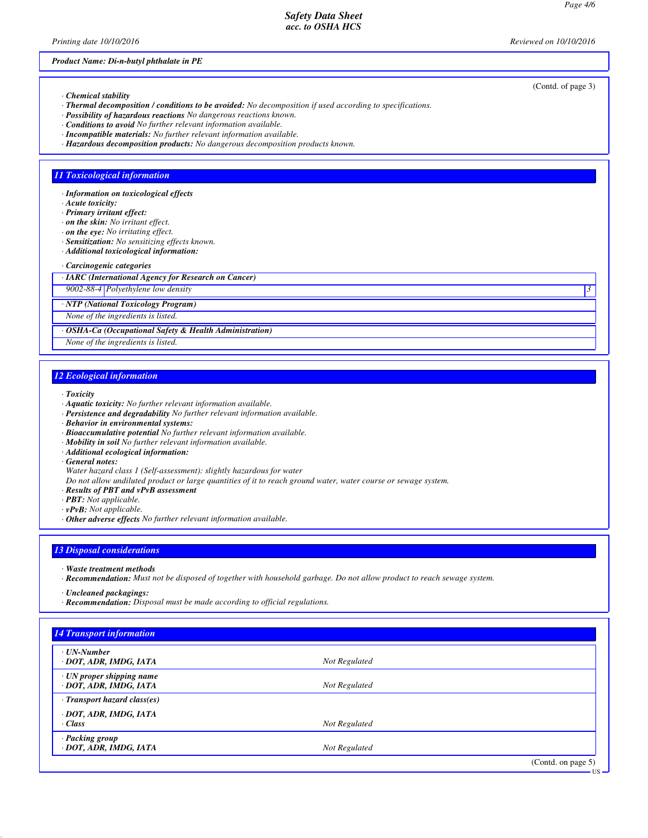*Printing date 10/10/2016 Reviewed on 10/10/2016*

# *Product Name: Di-n-butyl phthalate in PE*

- *· Chemical stability*
- *· Thermal decomposition / conditions to be avoided: No decomposition if used according to specifications.*
- *· Possibility of hazardous reactions No dangerous reactions known.*
- *· Conditions to avoid No further relevant information available.*
- *· Incompatible materials: No further relevant information available.*
- *· Hazardous decomposition products: No dangerous decomposition products known.*

#### *11 Toxicological information*

- *· Information on toxicological effects*
- *· Acute toxicity:*
- *· Primary irritant effect:*
- *· on the skin: No irritant effect.*
- *· on the eye: No irritating effect.*
- *· Sensitization: No sensitizing effects known. · Additional toxicological information:*
- *· Carcinogenic categories*

*· IARC (International Agency for Research on Cancer)*

*9002-88-4 Polyethylene low density 3* 

*· NTP (National Toxicology Program)*

*None of the ingredients is listed.*

*· OSHA-Ca (Occupational Safety & Health Administration)*

*None of the ingredients is listed.*

#### *12 Ecological information*

- *· Toxicity*
- *· Aquatic toxicity: No further relevant information available.*
- *· Persistence and degradability No further relevant information available.*
- *· Behavior in environmental systems:*
- *· Bioaccumulative potential No further relevant information available.*
- *· Mobility in soil No further relevant information available.*
- *· Additional ecological information:*
- *· General notes:*

*Water hazard class 1 (Self-assessment): slightly hazardous for water*

- *Do not allow undiluted product or large quantities of it to reach ground water, water course or sewage system.*
- *· Results of PBT and vPvB assessment*
- *· PBT: Not applicable.*
- *· vPvB: Not applicable.*
- *· Other adverse effects No further relevant information available.*

## *13 Disposal considerations*

- *· Waste treatment methods*
- *· Recommendation: Must not be disposed of together with household garbage. Do not allow product to reach sewage system.*
- *· Uncleaned packagings:*
- *· Recommendation: Disposal must be made according to official regulations.*

| <b>14 Transport information</b>                           |               |                                      |
|-----------------------------------------------------------|---------------|--------------------------------------|
| $\cdot$ UN-Number<br>· DOT, ADR, IMDG, IATA               | Not Regulated |                                      |
| $\cdot$ UN proper shipping name<br>· DOT, ADR, IMDG, IATA | Not Regulated |                                      |
| $\cdot$ Transport hazard class(es)                        |               |                                      |
| · DOT, ADR, IMDG, IATA<br>· Class                         | Not Regulated |                                      |
| · Packing group<br>· DOT, ADR, IMDG, IATA                 | Not Regulated |                                      |
|                                                           |               | $(C_{\text{and}} \cap \text{mean}5)$ |

(Contd. of page 3)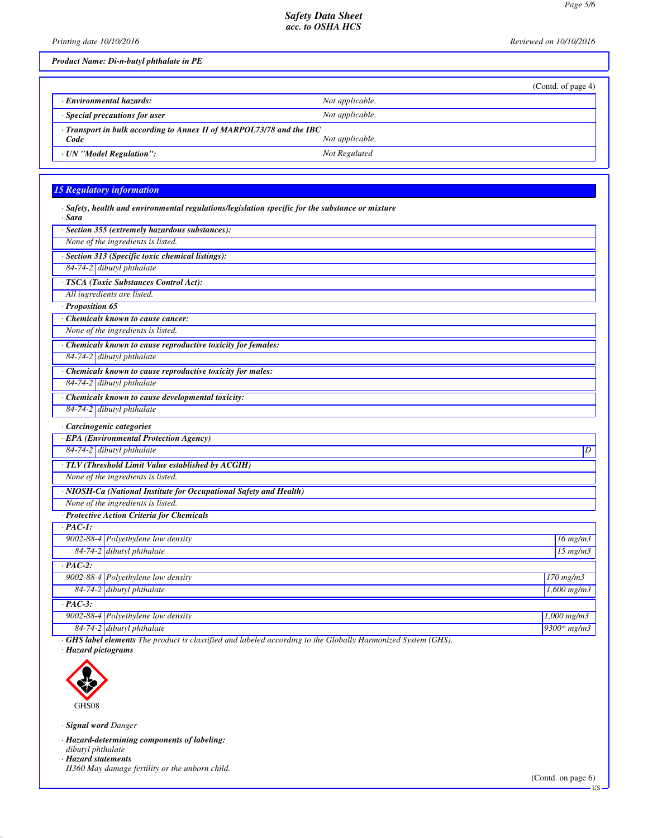*Printing date 10/10/2016 Reviewed on 10/10/2016*

*Product Name: Di-n-butyl phthalate in PE*

|                                                                            | (Contd. of page 4) |  |
|----------------------------------------------------------------------------|--------------------|--|
| <b>Environmental hazards:</b>                                              | Not applicable.    |  |
| $\cdot$ Special precautions for user                                       | Not applicable.    |  |
| $\cdot$ Transport in bulk according to Annex II of MARPOL73/78 and the IBC |                    |  |
| Code                                                                       | Not applicable.    |  |
| · UN "Model Regulation":                                                   | Not Regulated      |  |

# *15 Regulatory information*

| · Sara           | · Safety, health and environmental regulations/legislation specific for the substance or mixture |                |
|------------------|--------------------------------------------------------------------------------------------------|----------------|
|                  | · Section 355 (extremely hazardous substances):                                                  |                |
|                  | None of the ingredients is listed.                                                               |                |
|                  | · Section 313 (Specific toxic chemical listings):                                                |                |
|                  | 84-74-2 dibutyl phthalate                                                                        |                |
|                  | · TSCA (Toxic Substances Control Act):                                                           |                |
|                  | All ingredients are listed.                                                                      |                |
| · Proposition 65 |                                                                                                  |                |
|                  | Chemicals known to cause cancer:                                                                 |                |
|                  | None of the ingredients is listed.                                                               |                |
|                  | · Chemicals known to cause reproductive toxicity for females:                                    |                |
|                  | 84-74-2 dibutyl phthalate                                                                        |                |
|                  | · Chemicals known to cause reproductive toxicity for males:                                      |                |
|                  | 84-74-2 dibutyl phthalate                                                                        |                |
|                  | · Chemicals known to cause developmental toxicity:                                               |                |
|                  | 84-74-2 dibutyl phthalate                                                                        |                |
|                  | · Carcinogenic categories                                                                        |                |
|                  | · EPA (Environmental Protection Agency)                                                          |                |
|                  | 84-74-2 dibutyl phthalate                                                                        | $\overline{D}$ |
|                  | · TLV (Threshold Limit Value established by ACGIH)                                               |                |
|                  | None of the ingredients is listed.                                                               |                |
|                  | · NIOSH-Ca (National Institute for Occupational Safety and Health)                               |                |
|                  | None of the ingredients is listed.                                                               |                |
|                  | · Protective Action Criteria for Chemicals                                                       |                |
| $\cdot$ PAC-1:   |                                                                                                  |                |
|                  | 9002-88-4 Polyethylene low density                                                               | $16$ mg/m $3$  |
|                  | 84-74-2 dibutyl phthalate                                                                        | $15$ mg/m $3$  |
| $\cdot$ PAC-2:   |                                                                                                  |                |
|                  | 9002-88-4 Polyethylene low density                                                               | $170$ mg/m $3$ |
|                  | 84-74-2 dibutyl phthalate                                                                        | $1,600$ mg/m3  |
| $\cdot$ PAC-3:   |                                                                                                  |                |
|                  | 9002-88-4 Polyethylene low density                                                               | $1,000$ mg/m3  |
|                  | 84-74-2 dibutyl phthalate                                                                        | $9300*$ mg/m3  |
|                  |                                                                                                  |                |

*· GHS label elements The product is classified and labeled according to the Globally Harmonized System (GHS).*

*· Hazard pictograms*



*· Signal word Danger*

*· Hazard-determining components of labeling:*

*dibutyl phthalate*

*· Hazard statements H360 May damage fertility or the unborn child.*